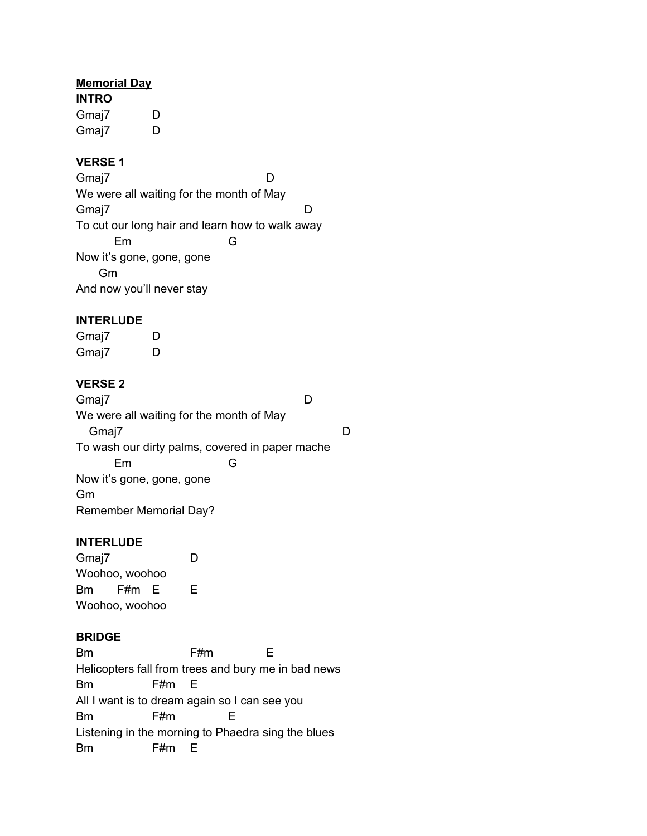## **Memorial Day**

**INTRO** Gmaj7 D Gmaj7 D

# **VERSE 1**

Gmaj7 D We were all waiting for the month of May Gmaj7 D To cut our long hair and learn how to walk away Em G Now it's gone, gone, gone Gm And now you'll never stay

## **INTERLUDE**

Gmaj7 D Gmaj7 D

# **VERSE 2**

Gmaj7 D We were all waiting for the month of May Gmaj7 December 2014 December 2014 December 2014 December 2014 December 2014 December 2014 December 2014 December 2014 December 2014 December 2014 December 2014 December 2014 December 2014 December 2014 December 2014 Decemb To wash our dirty palms, covered in paper mache Em G Now it's gone, gone, gone Gm Remember Memorial Day?

## **INTERLUDE**

Gmaj7 D Woohoo, woohoo Bm F#m E E Woohoo, woohoo

## **BRIDGE**

Bm F#m E Helicopters fall from trees and bury me in bad news Bm F#m E All I want is to dream again so I can see you Bm F#m E Listening in the morning to Phaedra sing the blues Bm F#m E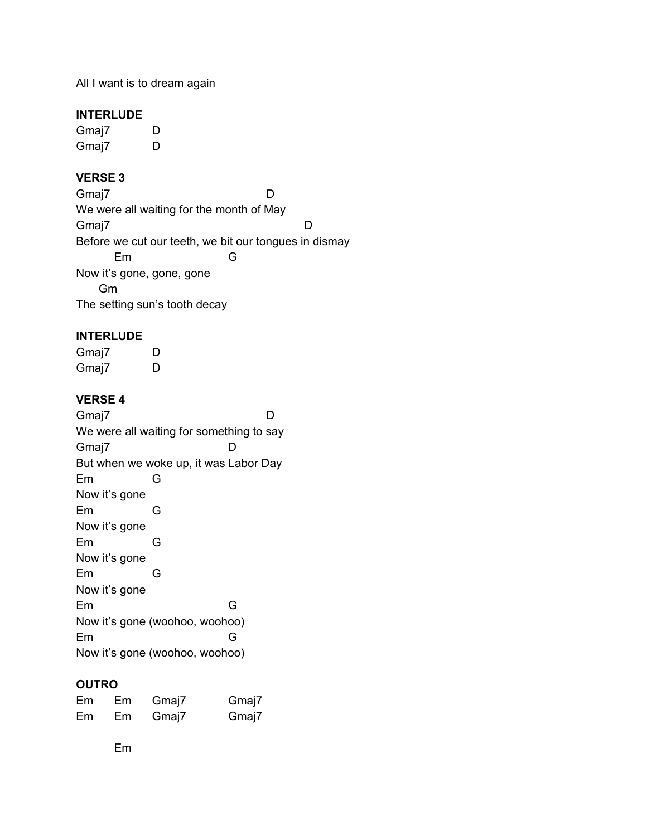All I want is to dream again

#### **INTERLUDE**

Gmaj7 D Gmaj7 D

# **VERSE 3**

Gmaj7 D We were all waiting for the month of May Gmaj7 D Before we cut our teeth, we bit our tongues in dismay Em G Now it's gone, gone, gone Gm The setting sun's tooth decay

#### **INTERLUDE**

Gmaj7 D Gmaj7 D

## **VERSE 4**

Gmaj7 D We were all waiting for something to say Gmaj7 D But when we woke up, it was Labor Day Em G Now it's gone Em G Now it's gone Em G Now it's gone Em G Now it's gone Em G Now it's gone (woohoo, woohoo) Em G Now it's gone (woohoo, woohoo)

## **OUTRO**

| Em | Em | Gmaj7 | Gmaj7 |
|----|----|-------|-------|
| Em | Em | Gmaj7 | Gmaj7 |